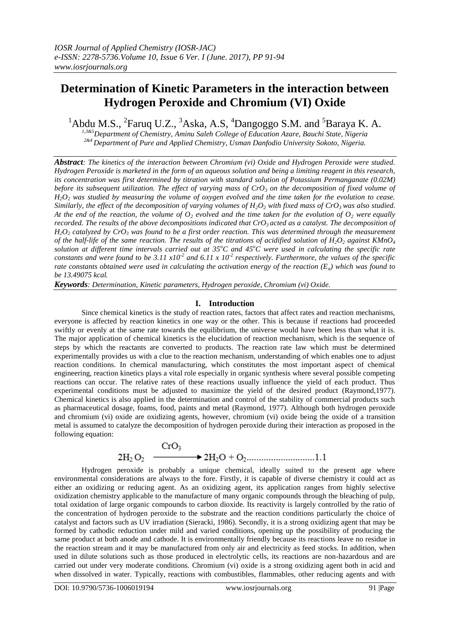## **Determination of Kinetic Parameters in the interaction between Hydrogen Peroxide and Chromium (VI) Oxide**

<sup>1</sup>Abdu M.S., <sup>2</sup>Faruq U.Z., <sup>3</sup>Aska, A.S, <sup>4</sup>Dangoggo S.M. and <sup>5</sup>Baraya K. A.

*1,3&5Department of Chemistry, Aminu Saleh College of Education Azare, Bauchi State, Nigeria 2&4 Department of Pure and Applied Chemistry, Usman Danfodio University Sokoto, Nigeria.*

*Abstract: The kinetics of the interaction between Chromium (vi) Oxide and Hydrogen Peroxide were studied. Hydrogen Peroxide is marketed in the form of an aqueous solution and being a limiting reagent in this research, its concentration was first determined by titration with standard solution of Potassium Permanganate (0.02M) before its subsequent utilization. The effect of varying mass of CrO<sup>3</sup> on the decomposition of fixed volume of H2O<sup>2</sup> was studied by measuring the volume of oxygen evolved and the time taken for the evolution to cease. Similarly, the effect of the decomposition of varying volumes of H2O<sup>2</sup> with fixed mass of CrO3 was also studied. At the end of the reaction, the volume of*  $O_2$  *evolved and the time taken for the evolution of*  $O_2$  *were equally recorded. The results of the above decompositions indicated that CrO3 acted as a catalyst. The decomposition of*  $H_2O_2$  *catalyzed by*  $CrO_3$  *was found to be a first order reaction. This was determined through the measurement of the half-life of the same reaction. The results of the titrations of acidified solution of H2O<sup>2</sup> against KMnO<sup>4</sup> solution at different time intervals carried out at 35<sup>o</sup>C and 45<sup>o</sup>C were used in calculating the specific rate constants and were found to be* 3.11  $x10^2$  and 6.11  $x10^2$  respectively. Furthermore, the values of the specific *rate constants obtained were used in calculating the activation energy of the reaction (Ea) which was found to be 13.49075 kcal.* 

*Keywords: Determination, Kinetic parameters, Hydrogen peroxide, Chromium (vi) Oxide.*

#### **I. Introduction**

Since chemical kinetics is the study of reaction rates, factors that affect rates and reaction mechanisms, everyone is affected by reaction kinetics in one way or the other. This is because if reactions had proceeded swiftly or evenly at the same rate towards the equilibrium, the universe would have been less than what it is. The major application of chemical kinetics is the elucidation of reaction mechanism, which is the sequence of steps by which the reactants are converted to products. The reaction rate law which must be determined experimentally provides us with a clue to the reaction mechanism, understanding of which enables one to adjust reaction conditions. In chemical manufacturing, which constitutes the most important aspect of chemical engineering, reaction kinetics plays a vital role especially in organic synthesis where several possible competing reactions can occur. The relative rates of these reactions usually influence the yield of each product. Thus experimental conditions must be adjusted to maximize the yield of the desired product (Raymond,1977). Chemical kinetics is also applied in the determination and control of the stability of commercial products such as pharmaceutical dosage, foams, food, paints and metal (Raymond, 1977). Although both hydrogen peroxide and chromium (vi) oxide are oxidizing agents, however, chromium (vi) oxide being the oxide of a transition metal is assumed to catalyze the decomposition of hydrogen peroxide during their interaction as proposed in the following equation:

Hydrogen peroxide is probably a unique chemical, ideally suited to the present age where environmental considerations are always to the fore. Firstly, it is capable of diverse chemistry it could act as either an oxidizing or reducing agent. As an oxidizing agent, its application ranges from highly selective oxidization chemistry applicable to the manufacture of many organic compounds through the bleaching of pulp, total oxidation of large organic compounds to carbon dioxide. Its reactivity is largely controlled by the ratio of the concentration of hydrogen peroxide to the substrate and the reaction conditions particularly the choice of catalyst and factors such as UV irradiation (Sieracki, 1986). Secondly, it is a strong oxidizing agent that may be formed by cathodic reduction under mild and varied conditions, opening up the possibility of producing the same product at both anode and cathode. It is environmentally friendly because its reactions leave no residue in the reaction stream and it may be manufactured from only air and electricity as feed stocks. In addition, when used in dilute solutions such as those produced in electrolytic cells, its reactions are non-hazardous and are carried out under very moderate conditions. Chromium (vi) oxide is a strong oxidizing agent both in acid and when dissolved in water. Typically, reactions with combustibles, flammables, other reducing agents and with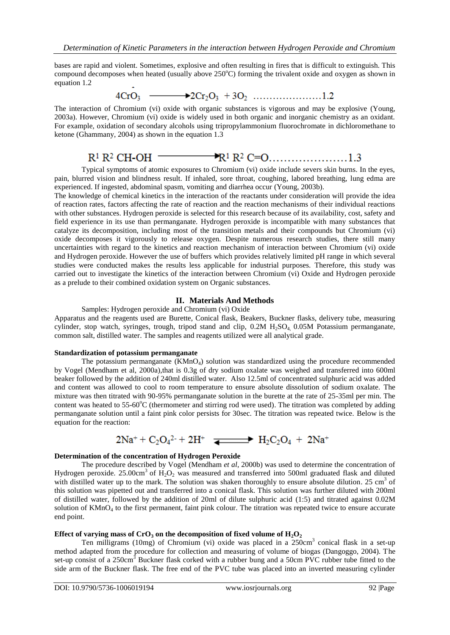bases are rapid and violent. Sometimes, explosive and often resulting in fires that is difficult to extinguish. This compound decomposes when heated (usually above 250°C) forming the trivalent oxide and oxygen as shown in equation 1.2

The interaction of Chromium (vi) oxide with organic substances is vigorous and may be explosive (Young, 2003a). However, Chromium (vi) oxide is widely used in both organic and inorganic chemistry as an oxidant. For example, oxidation of secondary alcohols using tripropylammonium fluorochromate in dichloromethane to ketone (Ghammany, 2004) as shown in the equation 1.3

# 

Typical symptoms of atomic exposures to Chromium (vi) oxide include severs skin burns. In the eyes, pain, blurred vision and blindness result. If inhaled, sore throat, coughing, labored breathing, lung edma are experienced. If ingested, abdominal spasm, vomiting and diarrhea occur (Young, 2003b).

The knowledge of chemical kinetics in the interaction of the reactants under consideration will provide the idea of reaction rates, factors affecting the rate of reaction and the reaction mechanisms of their individual reactions with other substances. Hydrogen peroxide is selected for this research because of its availability, cost, safety and field experience in its use than permanganate. Hydrogen peroxide is incompatible with many substances that catalyze its decomposition, including most of the transition metals and their compounds but Chromium (vi) oxide decomposes it vigorously to release oxygen. Despite numerous research studies, there still many uncertainties with regard to the kinetics and reaction mechanism of interaction between Chromium (vi) oxide and Hydrogen peroxide. However the use of buffers which provides relatively limited pH range in which several studies were conducted makes the results less applicable for industrial purposes. Therefore, this study was carried out to investigate the kinetics of the interaction between Chromium (vi) Oxide and Hydrogen peroxide as a prelude to their combined oxidation system on Organic substances.

## **II. Materials And Methods**

Samples: Hydrogen peroxide and Chromium (vi) Oxide

Apparatus and the reagents used are Burette, Conical flask, Beakers, Buckner flasks, delivery tube, measuring cylinder, stop watch, syringes, trough, tripod stand and clip,  $0.2M H<sub>2</sub>SO<sub>4</sub> 0.05M$  Potassium permanganate, common salt, distilled water. The samples and reagents utilized were all analytical grade.

#### **Standardization of potassium permanganate**

The potassium permanganate  $(KMnO<sub>4</sub>)$  solution was standardized using the procedure recommended by Vogel (Mendham et al, 2000a),that is 0.3g of dry sodium oxalate was weighed and transferred into 600ml beaker followed by the addition of 240ml distilled water. Also 12.5ml of concentrated sulphuric acid was added and content was allowed to cool to room temperature to ensure absolute dissolution of sodium oxalate. The mixture was then titrated with 90-95% permanganate solution in the burette at the rate of 25-35ml per min. The content was heated to 55-60°C (thermometer and stirring rod were used). The titration was completed by adding permanganate solution until a faint pink color persists for 30sec. The titration was repeated twice. Below is the equation for the reaction:

$$
2Na^+ + C_2O_4{}^{2-} + 2H^+ \quad \overline{\text{---}} \quad H_2C_2O_4 \ + \ 2Na^+
$$

## **Determination of the concentration of Hydrogen Peroxide**

The procedure described by Vogel (Mendham *et al*, 2000b) was used to determine the concentration of Hydrogen peroxide. 25.00cm<sup>3</sup> of  $H_2O_2$  was measured and transferred into 500ml graduated flask and diluted with distilled water up to the mark. The solution was shaken thoroughly to ensure absolute dilution. 25 cm<sup>3</sup> of this solution was pipetted out and transferred into a conical flask. This solution was further diluted with 200ml of distilled water, followed by the addition of 20ml of dilute sulphuric acid (1:5) and titrated against 0.02M solution of  $KMnO<sub>4</sub>$  to the first permanent, faint pink colour. The titration was repeated twice to ensure accurate end point.

## Effect of varying mass of  $CrO_3$  on the decomposition of fixed volume of  $H_2O_2$

Ten milligrams (10mg) of Chromium (vi) oxide was placed in a 250cm<sup>3</sup> conical flask in a set-up method adapted from the procedure for collection and measuring of volume of biogas (Dangoggo, 2004). The set-up consist of a 250cm<sup>3</sup> Buckner flask corked with a rubber bung and a 50cm PVC rubber tube fitted to the side arm of the Buckner flask. The free end of the PVC tube was placed into an inverted measuring cylinder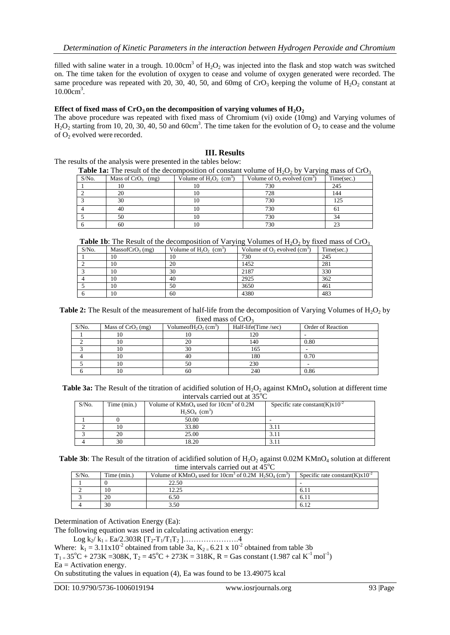filled with saline water in a trough.  $10.00 \text{cm}^3$  of  $\text{H}_2\text{O}_2$  was injected into the flask and stop watch was switched on. The time taken for the evolution of oxygen to cease and volume of oxygen generated were recorded. The same procedure was repeated with 20, 30, 40, 50, and 60mg of  $CrO<sub>3</sub>$  keeping the volume of H<sub>2</sub>O<sub>2</sub> constant at 10.00cm<sup>3</sup>.

#### Effect of fixed mass of  $CrO_3$  on the decomposition of varying volumes of  $H_2O_2$

The above procedure was repeated with fixed mass of Chromium (vi) oxide (10mg) and Varying volumes of  $H_2O_2$  starting from 10, 20, 30, 40, 50 and 60cm<sup>3</sup>. The time taken for the evolution of  $O_2$  to cease and the volume of  $O_2$  evolved were recorded.

### **III. Results**

The results of the analysis were presented in the tables below:

| <b>Table 1a:</b> The result of the decomposition of constant volume of $H_2O_2$ by Varying mass of CrO <sub>3</sub> |                      |                                       |                                  |            |
|---------------------------------------------------------------------------------------------------------------------|----------------------|---------------------------------------|----------------------------------|------------|
| $S/N0$ .                                                                                                            | Mass of $CrO_3$ (mg) | Volume of $H_2O_2$ (cm <sup>3</sup> ) | Volume of $O_2$ evolved $(cm^2)$ | Time(sec.) |
|                                                                                                                     |                      | 10                                    | 730                              | 245        |
|                                                                                                                     | 20                   |                                       | 728                              | 144        |
|                                                                                                                     | 30                   | 10                                    | 730                              | 125        |
|                                                                                                                     | 40                   |                                       | 730                              |            |
|                                                                                                                     | 50                   |                                       | 730                              | 34         |
|                                                                                                                     | 60                   | 10                                    | 730                              |            |

**Table 1b**: The Result of the decomposition of Varying Volumes of  $H_2O_2$  by fixed mass of CrO<sub>3</sub>

| $S/N0$ . | MassofCrO <sub>3</sub> (mg) | Volume of $H_2O_2$ (cm <sup>3</sup> ) | Volume of $O_2$ evolved $(cm^3)$ | Time(sec.) |
|----------|-----------------------------|---------------------------------------|----------------------------------|------------|
|          | 10                          | 10                                    | 730                              | 245        |
|          | 10                          | 20                                    | 1452                             | 281        |
|          | 10                          | 30                                    | 2187                             | 330        |
|          | 10                          | 40                                    | 2925                             | 362        |
|          | 10                          | 50                                    | 3650                             | 461        |
|          | 10                          | 60                                    | 4380                             | 483        |

**Table 2:** The Result of the measurement of half-life from the decomposition of Varying Volumes of H<sub>2</sub>O<sub>2</sub> by fixed mass of  $CrO<sub>3</sub>$ 

| S/No. | Mass of $CrO3$ (mg) | Volumeof $H_2O_2$ (cm <sup>3</sup> ) | Half-life(Time/sec) | Order of Reaction |
|-------|---------------------|--------------------------------------|---------------------|-------------------|
|       | 10                  |                                      | 120                 |                   |
|       | 10                  | 20                                   | 140                 | 0.80              |
|       | 10                  | 30                                   | 165                 |                   |
|       | $\Omega$            | 40                                   | 180                 | 0.70              |
|       | 10                  | 50                                   | 230                 |                   |
|       | 10                  | 60                                   | 240                 | 0.86              |

**Table 3a:** The Result of the titration of acidified solution of H<sub>2</sub>O<sub>2</sub> against KMnO<sub>4</sub> solution at different time intervals carried out at  $35^{\circ}$ C

| $S/N0$ . | Time (min.) | Volume of $KMnO4$ used for 10cm <sup>3</sup> of 0.2M | Specific rate constant $(K) \times 10^{-2}$ |
|----------|-------------|------------------------------------------------------|---------------------------------------------|
|          |             | $H_2SO_4$ (cm <sup>3</sup> )                         |                                             |
|          |             | 50.00                                                |                                             |
|          |             | 33.80                                                |                                             |
|          | 20          | 25.00                                                |                                             |
|          | 30          | 18.20                                                |                                             |

**Table 3b**: The Result of the titration of acidified solution of  $H_2O_2$  against 0.02M KMnO<sub>4</sub> solution at different time intervals carried out at 45°C

| $S/N0$ . | Time (min.) | Volume of $KMnO4$ used for 10cm <sup>3</sup> of 0.2M $H2SO4$ (cm <sup>3</sup> ) | Specific rate constant $(K) \times 10^{-2}$ |
|----------|-------------|---------------------------------------------------------------------------------|---------------------------------------------|
|          |             | 22.50                                                                           |                                             |
|          | 10          | 12.25                                                                           | 6.1                                         |
|          | 20          | 6.50                                                                            | $6.1^{\circ}$                               |
|          | 30          | 3.50                                                                            | 6.12                                        |

Determination of Activation Energy (Ea):

The following equation was used in calculating activation energy:

Log  $k_2/k_1 = Ea/2.303R [T_2-T_1/T_1T_2] \dots \dots \dots \dots \dots$ .4

Where:  $k_1 = 3.11 \times 10^{-2}$  obtained from table 3a,  $K_{2} = 6.21 \times 10^{-2}$  obtained from table 3b

 $T_{1} = 35^{\circ}\text{C} + 273\text{K} = 308\text{K}, T_2 = 45^{\circ}\text{C} + 273\text{K} = 318\text{K}, R = \text{Gas constant } (1.987 \text{ cal } \text{K}^{-1} \text{ mol}^{-1})$  $Ea =$  Activation energy.

On substituting the values in equation (4), Ea was found to be 13.49075 kcal